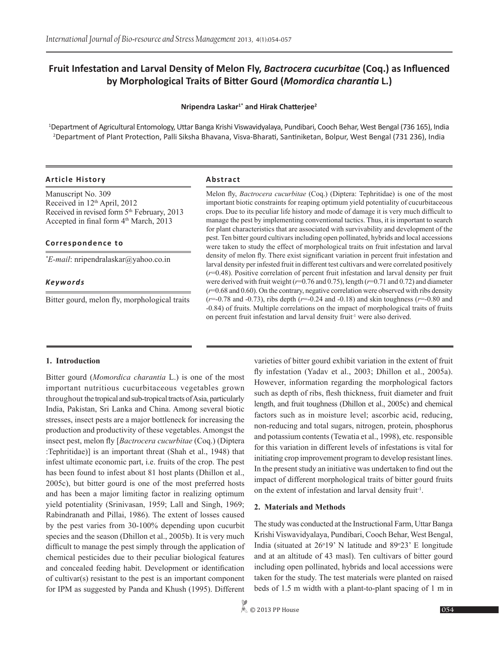# **Fruit Infestation and Larval Density of Melon Fly,** *Bactrocera cucurbitae* **(Coq.) as Influenced by Morphological Traits of Bitter Gourd (***Momordica charantia* **L.)**

## **Nripendra Laskar1\* and Hirak Chatterjee<sup>2</sup>**

1 Department of Agricultural Entomology, Uttar Banga Krishi Viswavidyalaya, Pundibari, Cooch Behar, West Bengal (736 165), India 2 Department of Plant Protection, Palli Siksha Bhavana, Visva-Bharati, Santiniketan, Bolpur, West Bengal (731 236), India

## **Article History Abstract**

Manuscript No. 309 Received in 12<sup>th</sup> April, 2012 Received in revised form 5<sup>th</sup> February, 2013 Accepted in final form  $4<sup>th</sup> March, 2013$ 

## **Correspondence to**

*\* E-mail*: nripendralaskar@yahoo.co.in

## *Keywords*

Bitter gourd, melon fly, morphological traits

Melon fly, *Bactrocera cucurbitae* (Coq.) (Diptera: Tephritidae) is one of the most important biotic constraints for reaping optimum yield potentiality of cucurbitaceous crops. Due to its peculiar life history and mode of damage it is very much difficult to manage the pest by implementing conventional tactics. Thus, it is important to search for plant characteristics that are associated with survivability and development of the pest. Ten bitter gourd cultivars including open pollinated, hybrids and local accessions were taken to study the effect of morphological traits on fruit infestation and larval density of melon fly. There exist significant variation in percent fruit infestation and larval density per infested fruit in different test cultivars and were correlated positively (*r*=0.48). Positive correlation of percent fruit infestation and larval density per fruit were derived with fruit weight (*r*=0.76 and 0.75), length (*r*=0.71 and 0.72) and diameter (*r*=0.68 and 0.60). On the contrary, negative correlation were observed with ribs density (*r*=-0.78 and -0.73), ribs depth (*r*=-0.24 and -0.18) and skin toughness (*r*=-0.80 and -0.84) of fruits. Multiple correlations on the impact of morphological traits of fruits on percent fruit infestation and larval density fruit<sup>-1</sup> were also derived.

## **1. Introduction**

Bitter gourd (*Momordica charantia* L.) is one of the most important nutritious cucurbitaceous vegetables grown throughout the tropical and sub-tropical tracts of Asia, particularly India, Pakistan, Sri Lanka and China. Among several biotic stresses, insect pests are a major bottleneck for increasing the production and productivity of these vegetables. Amongst the insect pest, melon fly [*Bactrocera cucurbitae* (Coq.) (Diptera :Tephritidae)] is an important threat (Shah et al., 1948) that infest ultimate economic part, i.e. fruits of the crop. The pest has been found to infest about 81 host plants (Dhillon et al., 2005c), but bitter gourd is one of the most preferred hosts and has been a major limiting factor in realizing optimum yield potentiality (Srinivasan, 1959; Lall and Singh, 1969; Rabindranath and Pillai, 1986). The extent of losses caused by the pest varies from 30-100% depending upon cucurbit species and the season (Dhillon et al., 2005b). It is very much difficult to manage the pest simply through the application of chemical pesticides due to their peculiar biological features and concealed feeding habit. Development or identification of cultivar(s) resistant to the pest is an important component for IPM as suggested by Panda and Khush (1995). Different

varieties of bitter gourd exhibit variation in the extent of fruit fly infestation (Yadav et al., 2003; Dhillon et al., 2005a). However, information regarding the morphological factors such as depth of ribs, flesh thickness, fruit diameter and fruit length, and fruit toughness (Dhillon et al., 2005c) and chemical factors such as in moisture level; ascorbic acid, reducing, non-reducing and total sugars, nitrogen, protein, phosphorus and potassium contents (Tewatia et al., 1998), etc. responsible for this variation in different levels of infestations is vital for initiating crop improvement program to develop resistant lines. In the present study an initiative was undertaken to find out the impact of different morphological traits of bitter gourd fruits on the extent of infestation and larval density fruit<sup>1</sup>.

#### **2. Materials and Methods**

The study was conducted at the Instructional Farm, Uttar Banga Krishi Viswavidyalaya, Pundibari, Cooch Behar, West Bengal, India (situated at  $26^{\circ}19'$  N latitude and  $89^{\circ}23'$  E longitude and at an altitude of 43 masl). Ten cultivars of bitter gourd including open pollinated, hybrids and local accessions were taken for the study. The test materials were planted on raised beds of 1.5 m width with a plant-to-plant spacing of 1 m in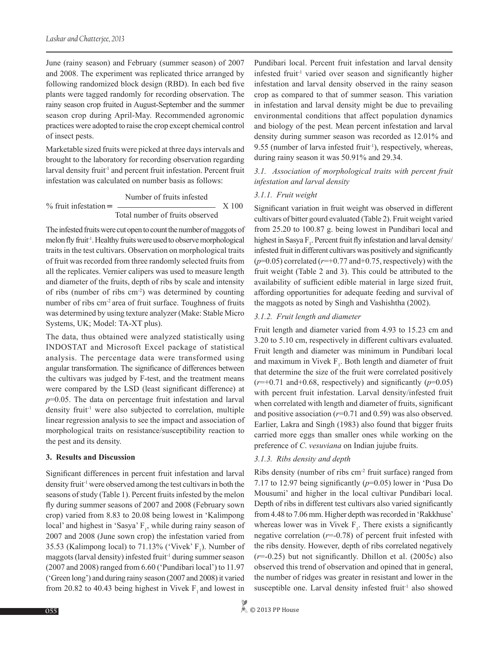June (rainy season) and February (summer season) of 2007 and 2008. The experiment was replicated thrice arranged by following randomized block design (RBD). In each bed five plants were tagged randomly for recording observation. The rainy season crop fruited in August-September and the summer season crop during April-May. Recommended agronomic practices were adopted to raise the crop except chemical control of insect pests.

Marketable sized fruits were picked at three days intervals and brought to the laboratory for recording observation regarding larval density fruit<sup>-1</sup> and percent fruit infestation. Percent fruit infestation was calculated on number basis as follows:

$$
\% \text{ fruit infestation} = \frac{\text{Number of fruits infested}}{\text{Total number of fruits observed}} \times 100
$$

The infested fruits were cut open to count the number of maggots of melon fly fruit<sup>-1</sup>. Healthy fruits were used to observe morphological traits in the test cultivars. Observation on morphological traits of fruit was recorded from three randomly selected fruits from all the replicates. Vernier calipers was used to measure length and diameter of the fruits, depth of ribs by scale and intensity of ribs (number of ribs cm-2) was determined by counting number of ribs cm<sup>-2</sup> area of fruit surface. Toughness of fruits was determined by using texture analyzer (Make: Stable Micro Systems, UK; Model: TA-XT plus).

The data, thus obtained were analyzed statistically using INDOSTAT and Microsoft Excel package of statistical analysis. The percentage data were transformed using angular transformation. The significance of differences between the cultivars was judged by F-test, and the treatment means were compared by the LSD (least significant difference) at *p*=0.05. The data on percentage fruit infestation and larval density fruit<sup>1</sup> were also subjected to correlation, multiple linear regression analysis to see the impact and association of morphological traits on resistance/susceptibility reaction to the pest and its density.

## **3. Results and Discussion**

Significant differences in percent fruit infestation and larval density fruit-1 were observed among the test cultivars in both the seasons of study (Table 1). Percent fruits infested by the melon fly during summer seasons of 2007 and 2008 (February sown crop) varied from 8.83 to 20.08 being lowest in 'Kalimpong local' and highest in 'Sasya'  $F_1$ , while during rainy season of 2007 and 2008 (June sown crop) the infestation varied from 35.53 (Kalimpong local) to  $71.13\%$  ('Vivek'  $F_1$ ). Number of maggots (larval density) infested fruit<sup>-1</sup> during summer season (2007 and 2008) ranged from 6.60 ('Pundibari local') to 11.97 ('Green long') and during rainy season (2007 and 2008) it varied from 20.82 to 40.43 being highest in Vivek  $F_1$  and lowest in

Pundibari local. Percent fruit infestation and larval density infested fruit<sup>1</sup> varied over season and significantly higher infestation and larval density observed in the rainy season crop as compared to that of summer season. This variation in infestation and larval density might be due to prevailing environmental conditions that affect population dynamics and biology of the pest. Mean percent infestation and larval density during summer season was recorded as 12.01% and 9.55 (number of larva infested fruit<sup>1</sup>), respectively, whereas, during rainy season it was 50.91% and 29.34.

## *3.1. Association of morphological traits with percent fruit infestation and larval density*

## *3.1.1. Fruit weight*

Significant variation in fruit weight was observed in different cultivars of bitter gourd evaluated (Table 2). Fruit weight varied from 25.20 to 100.87 g. being lowest in Pundibari local and highest in Sasya  $F_1$ . Percent fruit fly infestation and larval density/ infested fruit in different cultivars was positively and significantly  $(p=0.05)$  correlated  $(r=+0.77$  and  $+0.75$ , respectively) with the fruit weight (Table 2 and 3). This could be attributed to the availability of sufficient edible material in large sized fruit, affording opportunities for adequate feeding and survival of the maggots as noted by Singh and Vashishtha (2002).

## *3.1.2. Fruit length and diameter*

Fruit length and diameter varied from 4.93 to 15.23 cm and 3.20 to 5.10 cm, respectively in different cultivars evaluated. Fruit length and diameter was minimum in Pundibari local and maximum in Vivek  $F_1$ . Both length and diameter of fruit that determine the size of the fruit were correlated positively  $(r=+0.71$  and +0.68, respectively) and significantly  $(p=0.05)$ with percent fruit infestation. Larval density/infested fruit when correlated with length and diameter of fruits, significant and positive association (*r*=0.71 and 0.59) was also observed. Earlier, Lakra and Singh (1983) also found that bigger fruits carried more eggs than smaller ones while working on the preference of *C*. *vesuviana* on Indian jujube fruits.

## *3.1.3. Ribs density and depth*

Ribs density (number of ribs cm-2 fruit surface) ranged from 7.17 to 12.97 being significantly (*p*=0.05) lower in 'Pusa Do Mousumi' and higher in the local cultivar Pundibari local. Depth of ribs in different test cultivars also varied significantly from 4.48 to 7.06 mm. Higher depth was recorded in 'Rakkhuse' whereas lower was in Vivek  $F_1$ . There exists a significantly negative correlation (*r*=-0.78) of percent fruit infested with the ribs density. However, depth of ribs correlated negatively (*r*=-0.25) but not significantly. Dhillon et al. (2005c) also observed this trend of observation and opined that in general, the number of ridges was greater in resistant and lower in the susceptible one. Larval density infested fruit<sup>1</sup> also showed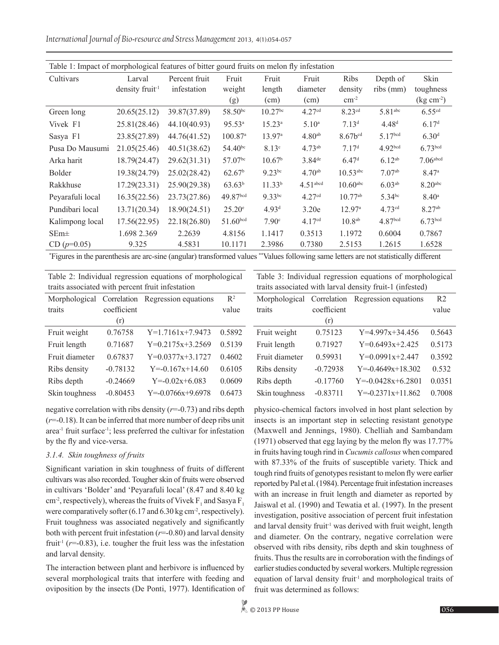*International Journal of Bio-resource and Stress Management* 2013, 4(1):054-057

| Table 1: Impact of morphological features of bitter gourd fruits on melon fly infestation |                             |               |                       |                     |                        |                        |                       |                      |
|-------------------------------------------------------------------------------------------|-----------------------------|---------------|-----------------------|---------------------|------------------------|------------------------|-----------------------|----------------------|
| Cultivars                                                                                 | Larval                      | Percent fruit | Fruit                 | Fruit               | Fruit                  | <b>Ribs</b>            | Depth of              | <b>Skin</b>          |
|                                                                                           | density fruit <sup>-1</sup> | infestation   | weight                | length              | diameter               | density                | $ribs$ (mm)           | toughness            |
|                                                                                           |                             |               | (g)                   | (cm)                | (cm)                   | $\rm cm^{-2}$          |                       | $\rm (kg \ cm^{-2})$ |
| Green long                                                                                | 20.65(25.12)                | 39.87(37.89)  | 58.50 <sup>bc</sup>   | 10.27 <sup>bc</sup> | 4.27 <sup>cd</sup>     | 8.23cd                 | $5.81$ <sup>abc</sup> | $6.55^{cd}$          |
| Vivek F1                                                                                  | 25.81(28.46)                | 44.10(40.93)  | 95.53 <sup>a</sup>    | $15.23^{\rm a}$     | 5.10 <sup>a</sup>      | 7.13 <sup>d</sup>      | 4.48 <sup>d</sup>     | 6.17 <sup>d</sup>    |
| Sasya F1                                                                                  | 23.85(27.89)                | 44.76(41.52)  | $100.87$ <sup>a</sup> | 13.97 <sup>a</sup>  | $4.80^{ab}$            | $8.67b^{cd}$           | 5.17bcd               | 6.30 <sup>d</sup>    |
| Pusa Do Mausumi                                                                           | 21.05(25.46)                | 40.51(38.62)  | $54.40^{bc}$          | 8.13 <sup>c</sup>   | $4.73^{ab}$            | 7.17 <sup>d</sup>      | 4.92 <sub>bcd</sub>   | 6.73 <sup>bcd</sup>  |
| Arka harit                                                                                | 18.79(24.47)                | 29.62(31.31)  | 57.07bc               | 10.67 <sup>b</sup>  | $3.84$ <sup>de</sup>   | 6.47 <sup>d</sup>      | $6.12^{ab}$           | $7.06$ abcd          |
| <b>Bolder</b>                                                                             | 19.38(24.79)                | 25.02(28.42)  | 62.67 <sup>b</sup>    | $9.23^{bc}$         | $4.70^{ab}$            | $10.53$ <sup>abc</sup> | $7.07^{ab}$           | 8.47a                |
| Rakkhuse                                                                                  | 17.29(23.31)                | 25.90(29.38)  | $63.63^{b}$           | 11.33 <sup>b</sup>  | $4.51$ <sup>abcd</sup> | $10.60$ <sup>abc</sup> | 6.03 <sup>ab</sup>    | 8.20 <sup>abc</sup>  |
| Peyarafuli local                                                                          | 16.35(22.56)                | 23.73(27.86)  | 49.87bcd              | $9.33^{bc}$         | 4.27 <sup>cd</sup>     | $10.77^{ab}$           | $5.34^{bc}$           | $8.40^{\circ}$       |
| Pundibari local                                                                           | 13.71(20.34)                | 18.90(24.51)  | $25.20^{\circ}$       | 4.93 <sup>d</sup>   | 3.20e                  | $12.97^{\circ}$        | 4.73 <sup>cd</sup>    | 8.27 <sup>ab</sup>   |
| Kalimpong local                                                                           | 17.56(22.95)                | 22.18(26.80)  | 51.60 <sup>bcd</sup>  | 7.90 <sup>c</sup>   | 4.17 <sup>cd</sup>     | $10.8^{ab}$            | 4.87 <sup>bcd</sup>   | 6.73 <sup>bcd</sup>  |
| $SEm\pm$                                                                                  | 1.698 2.369                 | 2.2639        | 4.8156                | 1.1417              | 0.3513                 | 1.1972                 | 0.6004                | 0.7867               |
| $CD (p=0.05)$                                                                             | 9.325                       | 4.5831        | 10.1171               | 2.3986              | 0.7380                 | 2.5153                 | 1.2615                | 1.6528               |

\* Figures in the parenthesis are arc-sine (angular) transformed values \*\*Values following same letters are not statistically different

Morphological

|                                                  |  | Table 2: Individual regression equations of morphological |  |
|--------------------------------------------------|--|-----------------------------------------------------------|--|
| traits associated with percent fruit infestation |  |                                                           |  |

Table 3: Individual regression equations of morphological traits associated with larval density fruit-1 (infested)

Correlation Regression equations R2

| Morphological  |             | Correlation Regression equations | $R^2$  |
|----------------|-------------|----------------------------------|--------|
| traits         | coefficient |                                  | value  |
|                | (r)         |                                  |        |
| Fruit weight   | 0.76758     | $Y=1.7161x+7.9473$               | 0.5892 |
| Fruit length   | 0.71687     | $Y=0.2175x+3.2569$               | 0.5139 |
| Fruit diameter | 0.67837     | $Y=0.0377x+3.1727$               | 0.4602 |
| Ribs density   | $-0.78132$  | $Y = -0.167x + 14.60$            | 0.6105 |
| Ribs depth     | $-0.24669$  | $Y = -0.02x + 6.083$             | 0.0609 |
| Skin toughness | $-0.80453$  | $Y = 0.0766x + 9.6978$           | 0.6473 |

negative correlation with ribs density (*r*=-0.73) and ribs depth (*r*=-0.18). It can be inferred that more number of deep ribs unit area-1 fruit surface-1; less preferred the cultivar for infestation by the fly and vice-versa.

## *3.1.4. Skin toughness of fruits*

Significant variation in skin toughness of fruits of different cultivars was also recorded. Tougher skin of fruits were observed in cultivars 'Bolder' and 'Peyarafuli local' (8.47 and 8.40 kg cm<sup>-2</sup>, respectively), whereas the fruits of Vivek  $F_1$  and Sasya  $F_1$ were comparatively softer  $(6.17 \text{ and } 6.30 \text{ kg cm}^2)$ , respectively). Fruit toughness was associated negatively and significantly both with percent fruit infestation (*r*=-0.80) and larval density fruit<sup>-1</sup> ( $r=0.83$ ), i.e. tougher the fruit less was the infestation and larval density.

The interaction between plant and herbivore is influenced by several morphological traits that interfere with feeding and oviposition by the insects (De Ponti, 1977). Identification of traits coefficient (r) value Fruit weight 0.75123 Y=4.997x+34.456 0.5643 Fruit length 0.71927 Y=0.6493x+2.425 0.5173 Fruit diameter 0.59931 Y=0.0991x+2.447 0.3592 Ribs density  $-0.72938$  Y= $-0.4649x+18.302$  0.532 Ribs depth -0.17760 Y=-0.0428x+6.2801 0.0351 Skin toughness -0.83711 Y=-0.2371x+11.862 0.7008

physico-chemical factors involved in host plant selection by insects is an important step in selecting resistant genotype (Maxwell and Jennings, 1980). Chelliah and Sambandam (1971) observed that egg laying by the melon fly was 17.77% in fruits having tough rind in *Cucumis callosus* when compared with 87.33% of the fruits of susceptible variety. Thick and tough rind fruits of genotypes resistant to melon fly were earlier reported by Pal et al. (1984). Percentage fruit infestation increases with an increase in fruit length and diameter as reported by Jaiswal et al. (1990) and Tewatia et al. (1997). In the present investigation, positive association of percent fruit infestation and larval density fruit<sup>-1</sup> was derived with fruit weight, length and diameter. On the contrary, negative correlation were observed with ribs density, ribs depth and skin toughness of fruits. Thus the results are in corroboration with the findings of earlier studies conducted by several workers. Multiple regression equation of larval density fruit<sup>1</sup> and morphological traits of fruit was determined as follows: